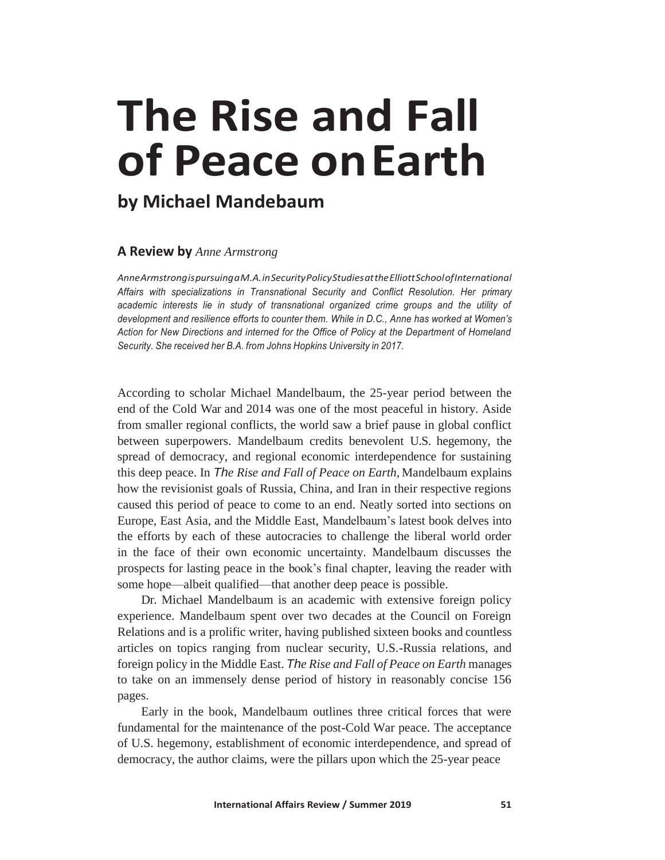## **The Rise and Fall of Peace onEarth**

## **by Michael Mandebaum**

## **A Review by** *Anne Armstrong*

*AnneArmstrongispursuingaM.A.inSecurityPolicyStudiesattheElliottSchoolofInternational Affairs with specializations in Transnational Security and Conflict Resolution. Her primary academic interests lie in study of transnational organized crime groups and the utility of development and resilience efforts to counter them. While in D.C., Anne has worked at Women's Action for New Directions and interned for the Office of Policy at the Department of Homeland Security. She received her B.A. from Johns Hopkins University in 2017.*

According to scholar Michael Mandelbaum, the 25-year period between the end of the Cold War and 2014 was one of the most peaceful in history. Aside from smaller regional conflicts, the world saw a brief pause in global conflict between superpowers. Mandelbaum credits benevolent U.S. hegemony, the spread of democracy, and regional economic interdependence for sustaining this deep peace. In *The Rise and Fall of Peace on Earth*, Mandelbaum explains how the revisionist goals of Russia, China, and Iran in their respective regions caused this period of peace to come to an end. Neatly sorted into sections on Europe, East Asia, and the Middle East, Mandelbaum's latest book delves into the efforts by each of these autocracies to challenge the liberal world order in the face of their own economic uncertainty. Mandelbaum discusses the prospects for lasting peace in the book's final chapter, leaving the reader with some hope—albeit qualified—that another deep peace is possible.

Dr. Michael Mandelbaum is an academic with extensive foreign policy experience. Mandelbaum spent over two decades at the Council on Foreign Relations and is a prolific writer, having published sixteen books and countless articles on topics ranging from nuclear security, U.S.-Russia relations, and foreign policy in the Middle East. *The Rise and Fall of Peace on Earth* manages to take on an immensely dense period of history in reasonably concise 156 pages.

Early in the book, Mandelbaum outlines three critical forces that were fundamental for the maintenance of the post-Cold War peace. The acceptance of U.S. hegemony, establishment of economic interdependence, and spread of democracy, the author claims, were the pillars upon which the 25-year peace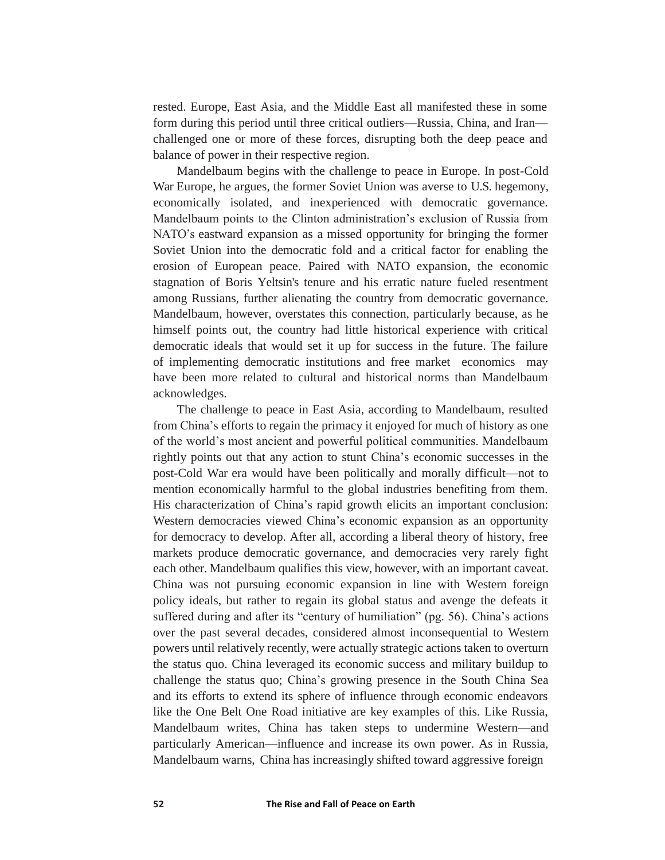rested. Europe, East Asia, and the Middle East all manifested these in some form during this period until three critical outliers—Russia, China, and Iran challenged one or more of these forces, disrupting both the deep peace and balance of power in their respective region.

Mandelbaum begins with the challenge to peace in Europe. In post-Cold War Europe, he argues, the former Soviet Union was averse to U.S. hegemony, economically isolated, and inexperienced with democratic governance. Mandelbaum points to the Clinton administration's exclusion of Russia from NATO's eastward expansion as a missed opportunity for bringing the former Soviet Union into the democratic fold and a critical factor for enabling the erosion of European peace. Paired with NATO expansion, the economic stagnation of Boris Yeltsin's tenure and his erratic nature fueled resentment among Russians, further alienating the country from democratic governance. Mandelbaum, however, overstates this connection, particularly because, as he himself points out, the country had little historical experience with critical democratic ideals that would set it up for success in the future. The failure of implementing democratic institutions and free market economics may have been more related to cultural and historical norms than Mandelbaum acknowledges.

The challenge to peace in East Asia, according to Mandelbaum, resulted from China's efforts to regain the primacy it enjoyed for much of history as one of the world's most ancient and powerful political communities. Mandelbaum rightly points out that any action to stunt China's economic successes in the post-Cold War era would have been politically and morally difficult—not to mention economically harmful to the global industries benefiting from them. His characterization of China's rapid growth elicits an important conclusion: Western democracies viewed China's economic expansion as an opportunity for democracy to develop. After all, according a liberal theory of history, free markets produce democratic governance, and democracies very rarely fight each other. Mandelbaum qualifies this view, however, with an important caveat. China was not pursuing economic expansion in line with Western foreign policy ideals, but rather to regain its global status and avenge the defeats it suffered during and after its "century of humiliation" (pg. 56). China's actions over the past several decades, considered almost inconsequential to Western powers until relatively recently, were actually strategic actions taken to overturn the status quo. China leveraged its economic success and military buildup to challenge the status quo; China's growing presence in the South China Sea and its efforts to extend its sphere of influence through economic endeavors like the One Belt One Road initiative are key examples of this. Like Russia, Mandelbaum writes, China has taken steps to undermine Western—and particularly American—influence and increase its own power. As in Russia, Mandelbaum warns, China has increasingly shifted toward aggressive foreign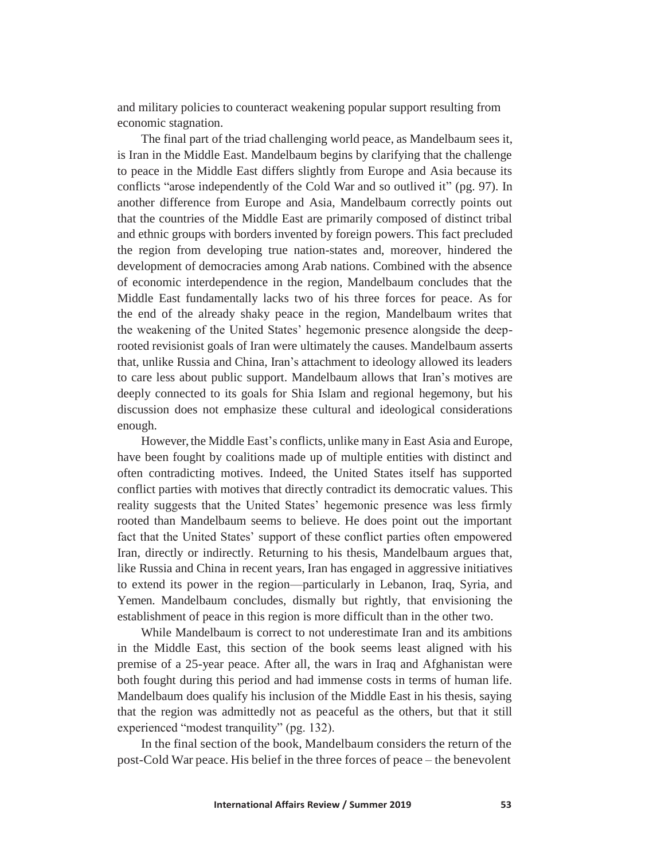and military policies to counteract weakening popular support resulting from economic stagnation.

The final part of the triad challenging world peace, as Mandelbaum sees it, is Iran in the Middle East. Mandelbaum begins by clarifying that the challenge to peace in the Middle East differs slightly from Europe and Asia because its conflicts "arose independently of the Cold War and so outlived it" (pg. 97). In another difference from Europe and Asia, Mandelbaum correctly points out that the countries of the Middle East are primarily composed of distinct tribal and ethnic groups with borders invented by foreign powers. This fact precluded the region from developing true nation-states and, moreover, hindered the development of democracies among Arab nations. Combined with the absence of economic interdependence in the region, Mandelbaum concludes that the Middle East fundamentally lacks two of his three forces for peace. As for the end of the already shaky peace in the region, Mandelbaum writes that the weakening of the United States' hegemonic presence alongside the deeprooted revisionist goals of Iran were ultimately the causes. Mandelbaum asserts that, unlike Russia and China, Iran's attachment to ideology allowed its leaders to care less about public support. Mandelbaum allows that Iran's motives are deeply connected to its goals for Shia Islam and regional hegemony, but his discussion does not emphasize these cultural and ideological considerations enough.

However, the Middle East's conflicts, unlike many in East Asia and Europe, have been fought by coalitions made up of multiple entities with distinct and often contradicting motives. Indeed, the United States itself has supported conflict parties with motives that directly contradict its democratic values. This reality suggests that the United States' hegemonic presence was less firmly rooted than Mandelbaum seems to believe. He does point out the important fact that the United States' support of these conflict parties often empowered Iran, directly or indirectly. Returning to his thesis, Mandelbaum argues that, like Russia and China in recent years, Iran has engaged in aggressive initiatives to extend its power in the region—particularly in Lebanon, Iraq, Syria, and Yemen. Mandelbaum concludes, dismally but rightly, that envisioning the establishment of peace in this region is more difficult than in the other two.

While Mandelbaum is correct to not underestimate Iran and its ambitions in the Middle East, this section of the book seems least aligned with his premise of a 25-year peace. After all, the wars in Iraq and Afghanistan were both fought during this period and had immense costs in terms of human life. Mandelbaum does qualify his inclusion of the Middle East in his thesis, saying that the region was admittedly not as peaceful as the others, but that it still experienced "modest tranquility" (pg. 132).

In the final section of the book, Mandelbaum considers the return of the post-Cold War peace. His belief in the three forces of peace – the benevolent